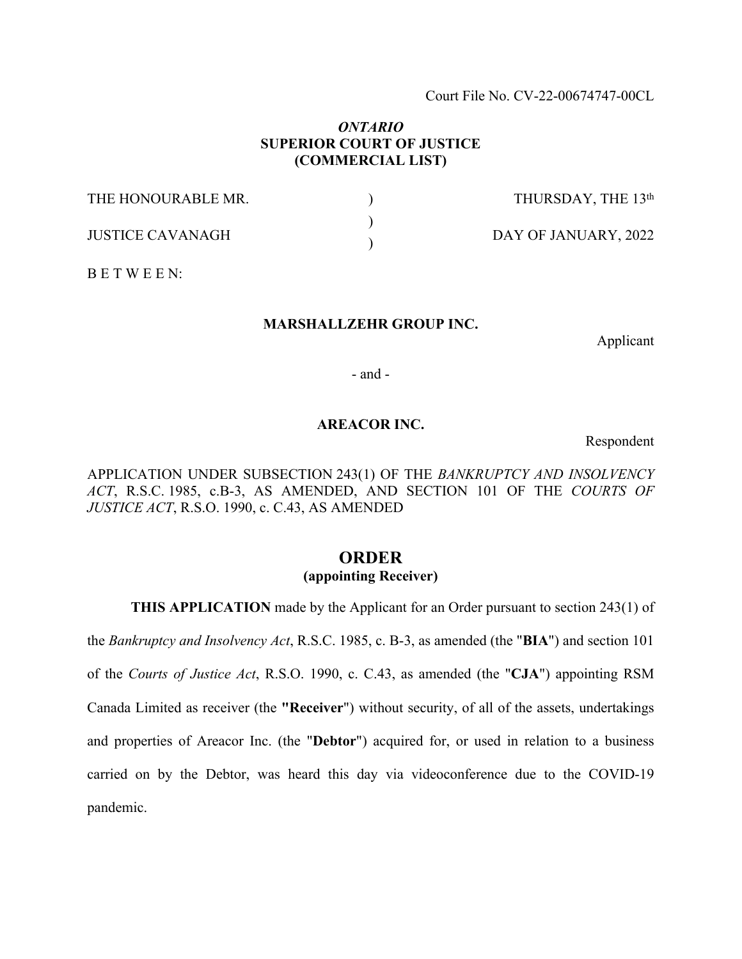Court File No. CV-22-00674747-00CL

## *ONTARIO* **SUPERIOR COURT OF JUSTICE (COMMERCIAL LIST)**

| THE HONOURABLE MR.      | THURSDAY, THE 13th   |
|-------------------------|----------------------|
| <b>JUSTICE CAVANAGH</b> | DAY OF JANUARY, 2022 |

B E T W E E N:

## **MARSHALLZEHR GROUP INC.**

Applicant

- and -

## **AREACOR INC.**

Respondent

APPLICATION UNDER SUBSECTION 243(1) OF THE *BANKRUPTCY AND INSOLVENCY ACT*, R.S.C. 1985, c.B-3, AS AMENDED, AND SECTION 101 OF THE *COURTS OF JUSTICE ACT*, R.S.O. 1990, c. C.43, AS AMENDED

# **ORDER (appointing Receiver)**

**THIS APPLICATION** made by the Applicant for an Order pursuant to section 243(1) of

the *Bankruptcy and Insolvency Act*, R.S.C. 1985, c. B-3, as amended (the "**BIA**") and section 101 of the *Courts of Justice Act*, R.S.O. 1990, c. C.43, as amended (the "**CJA**") appointing RSM Canada Limited as receiver (the **"Receiver**") without security, of all of the assets, undertakings and properties of Areacor Inc. (the "**Debtor**") acquired for, or used in relation to a business carried on by the Debtor, was heard this day via videoconference due to the COVID-19 pandemic.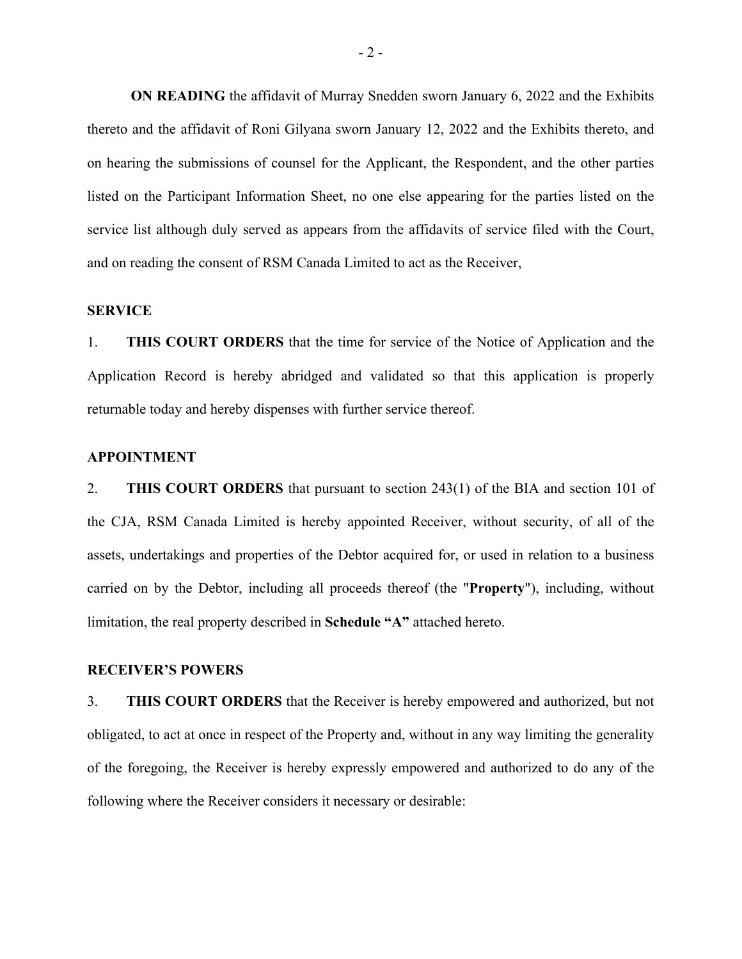**ON READING** the affidavit of Murray Snedden sworn January 6, 2022 and the Exhibits thereto and the affidavit of Roni Gilyana sworn January 12, 2022 and the Exhibits thereto, and on hearing the submissions of counsel for the Applicant, the Respondent, and the other parties listed on the Participant Information Sheet, no one else appearing for the parties listed on the service list although duly served as appears from the affidavits of service filed with the Court, and on reading the consent of RSM Canada Limited to act as the Receiver,

#### **SERVICE**

1. **THIS COURT ORDERS** that the time for service of the Notice of Application and the Application Record is hereby abridged and validated so that this application is properly returnable today and hereby dispenses with further service thereof.

#### **APPOINTMENT**

2. **THIS COURT ORDERS** that pursuant to section 243(1) of the BIA and section 101 of the CJA, RSM Canada Limited is hereby appointed Receiver, without security, of all of the assets, undertakings and properties of the Debtor acquired for, or used in relation to a business carried on by the Debtor, including all proceeds thereof (the "**Property**"), including, without limitation, the real property described in **Schedule "A"** attached hereto.

## **RECEIVER'S POWERS**

3. **THIS COURT ORDERS** that the Receiver is hereby empowered and authorized, but not obligated, to act at once in respect of the Property and, without in any way limiting the generality of the foregoing, the Receiver is hereby expressly empowered and authorized to do any of the following where the Receiver considers it necessary or desirable: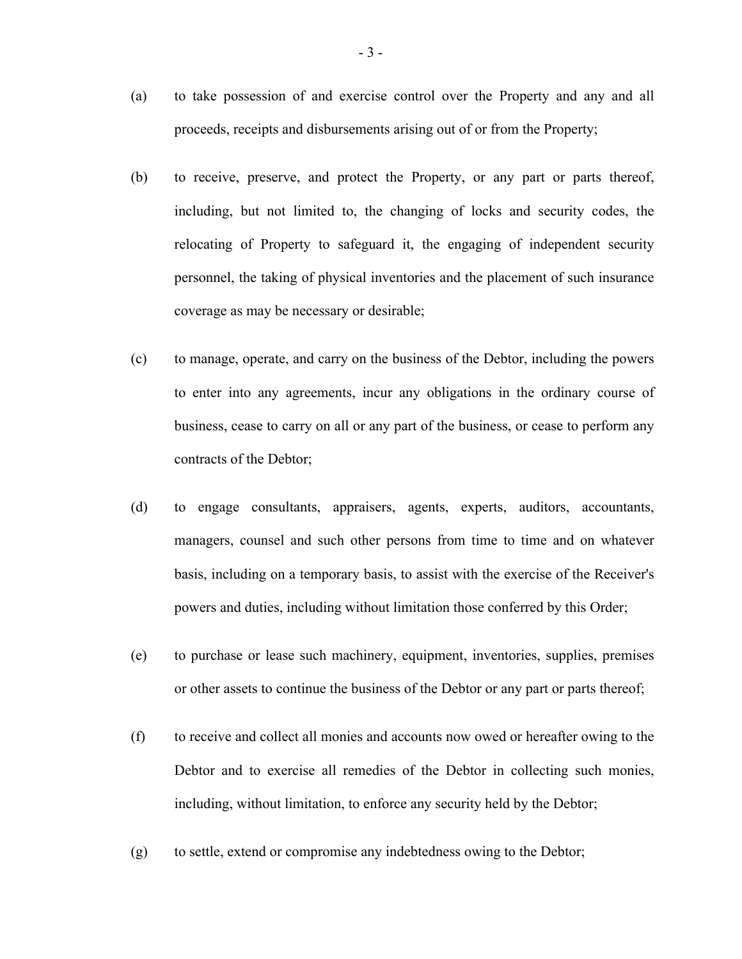- (a) to take possession of and exercise control over the Property and any and all proceeds, receipts and disbursements arising out of or from the Property;
- (b) to receive, preserve, and protect the Property, or any part or parts thereof, including, but not limited to, the changing of locks and security codes, the relocating of Property to safeguard it, the engaging of independent security personnel, the taking of physical inventories and the placement of such insurance coverage as may be necessary or desirable;
- (c) to manage, operate, and carry on the business of the Debtor, including the powers to enter into any agreements, incur any obligations in the ordinary course of business, cease to carry on all or any part of the business, or cease to perform any contracts of the Debtor;
- (d) to engage consultants, appraisers, agents, experts, auditors, accountants, managers, counsel and such other persons from time to time and on whatever basis, including on a temporary basis, to assist with the exercise of the Receiver's powers and duties, including without limitation those conferred by this Order;
- (e) to purchase or lease such machinery, equipment, inventories, supplies, premises or other assets to continue the business of the Debtor or any part or parts thereof;
- (f) to receive and collect all monies and accounts now owed or hereafter owing to the Debtor and to exercise all remedies of the Debtor in collecting such monies, including, without limitation, to enforce any security held by the Debtor;
- (g) to settle, extend or compromise any indebtedness owing to the Debtor;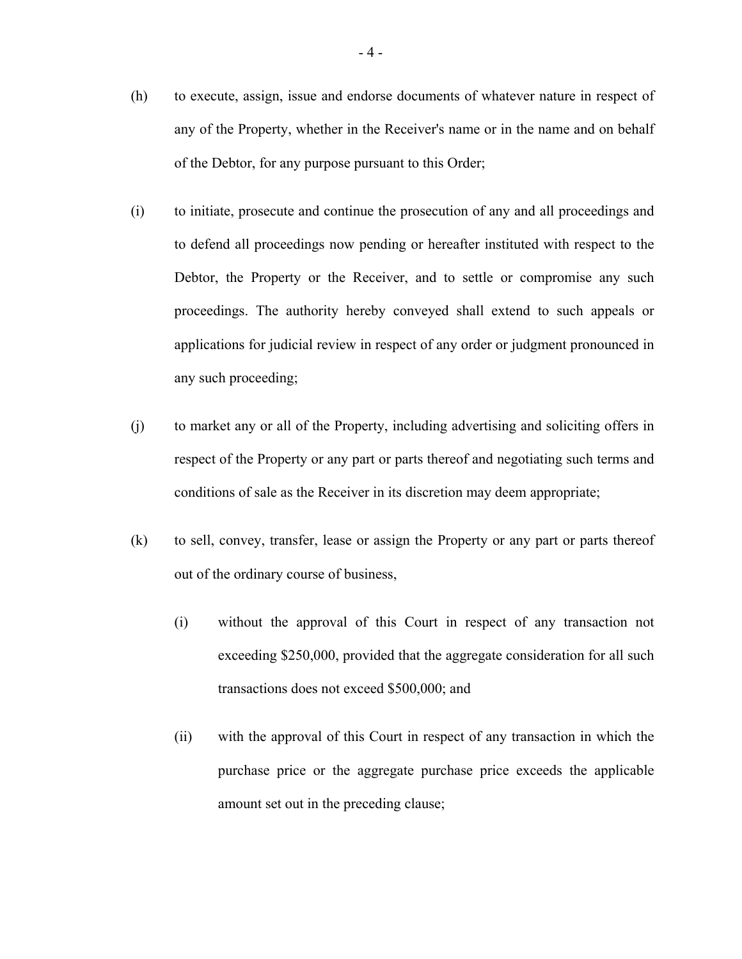- (h) to execute, assign, issue and endorse documents of whatever nature in respect of any of the Property, whether in the Receiver's name or in the name and on behalf of the Debtor, for any purpose pursuant to this Order;
- (i) to initiate, prosecute and continue the prosecution of any and all proceedings and to defend all proceedings now pending or hereafter instituted with respect to the Debtor, the Property or the Receiver, and to settle or compromise any such proceedings. The authority hereby conveyed shall extend to such appeals or applications for judicial review in respect of any order or judgment pronounced in any such proceeding;
- (j) to market any or all of the Property, including advertising and soliciting offers in respect of the Property or any part or parts thereof and negotiating such terms and conditions of sale as the Receiver in its discretion may deem appropriate;
- (k) to sell, convey, transfer, lease or assign the Property or any part or parts thereof out of the ordinary course of business,
	- (i) without the approval of this Court in respect of any transaction not exceeding \$250,000, provided that the aggregate consideration for all such transactions does not exceed \$500,000; and
	- (ii) with the approval of this Court in respect of any transaction in which the purchase price or the aggregate purchase price exceeds the applicable amount set out in the preceding clause;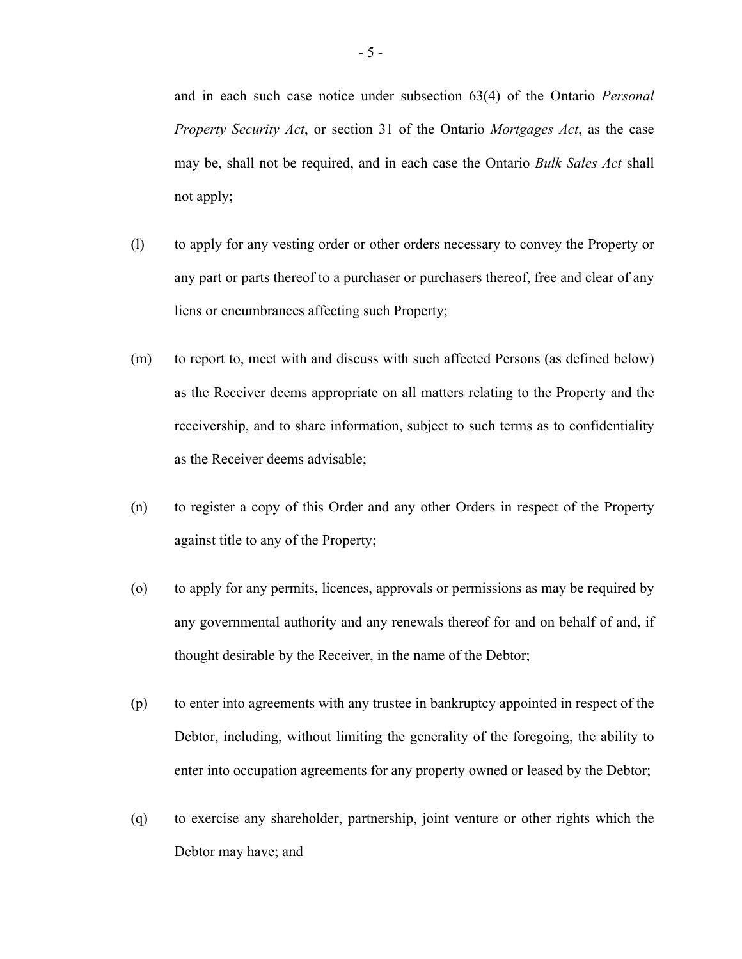and in each such case notice under subsection 63(4) of the Ontario *Personal Property Security Act*, or section 31 of the Ontario *Mortgages Act*, as the case may be, shall not be required, and in each case the Ontario *Bulk Sales Act* shall not apply;

- (l) to apply for any vesting order or other orders necessary to convey the Property or any part or parts thereof to a purchaser or purchasers thereof, free and clear of any liens or encumbrances affecting such Property;
- (m) to report to, meet with and discuss with such affected Persons (as defined below) as the Receiver deems appropriate on all matters relating to the Property and the receivership, and to share information, subject to such terms as to confidentiality as the Receiver deems advisable;
- (n) to register a copy of this Order and any other Orders in respect of the Property against title to any of the Property;
- (o) to apply for any permits, licences, approvals or permissions as may be required by any governmental authority and any renewals thereof for and on behalf of and, if thought desirable by the Receiver, in the name of the Debtor;
- (p) to enter into agreements with any trustee in bankruptcy appointed in respect of the Debtor, including, without limiting the generality of the foregoing, the ability to enter into occupation agreements for any property owned or leased by the Debtor;
- (q) to exercise any shareholder, partnership, joint venture or other rights which the Debtor may have; and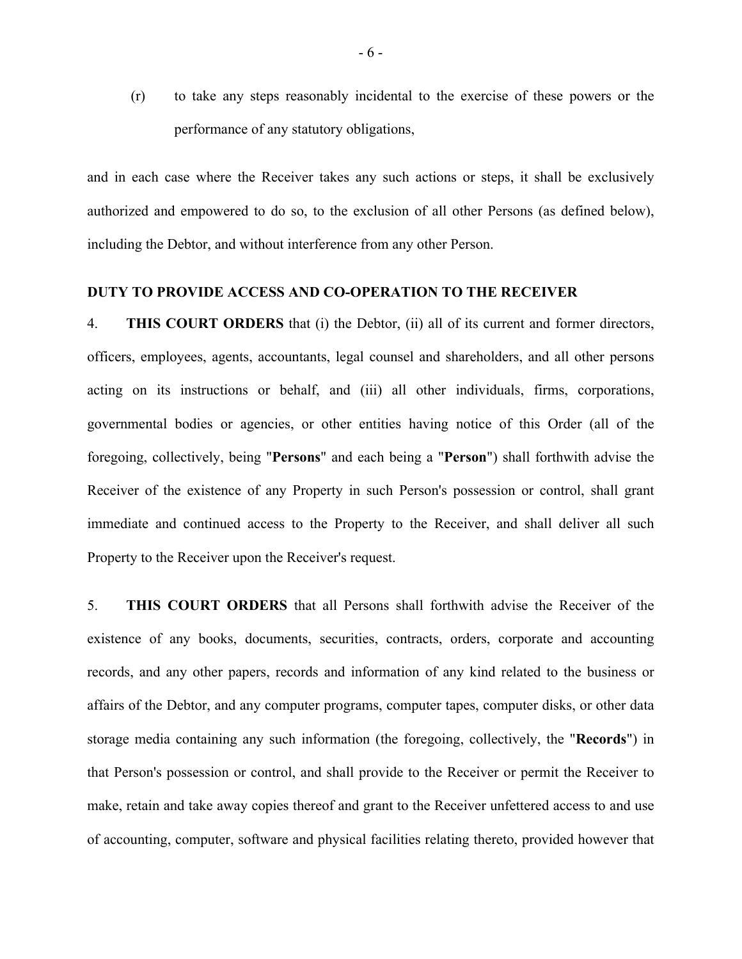(r) to take any steps reasonably incidental to the exercise of these powers or the performance of any statutory obligations,

and in each case where the Receiver takes any such actions or steps, it shall be exclusively authorized and empowered to do so, to the exclusion of all other Persons (as defined below), including the Debtor, and without interference from any other Person.

## **DUTY TO PROVIDE ACCESS AND CO-OPERATION TO THE RECEIVER**

4. **THIS COURT ORDERS** that (i) the Debtor, (ii) all of its current and former directors, officers, employees, agents, accountants, legal counsel and shareholders, and all other persons acting on its instructions or behalf, and (iii) all other individuals, firms, corporations, governmental bodies or agencies, or other entities having notice of this Order (all of the foregoing, collectively, being "**Persons**" and each being a "**Person**") shall forthwith advise the Receiver of the existence of any Property in such Person's possession or control, shall grant immediate and continued access to the Property to the Receiver, and shall deliver all such Property to the Receiver upon the Receiver's request.

5. **THIS COURT ORDERS** that all Persons shall forthwith advise the Receiver of the existence of any books, documents, securities, contracts, orders, corporate and accounting records, and any other papers, records and information of any kind related to the business or affairs of the Debtor, and any computer programs, computer tapes, computer disks, or other data storage media containing any such information (the foregoing, collectively, the "**Records**") in that Person's possession or control, and shall provide to the Receiver or permit the Receiver to make, retain and take away copies thereof and grant to the Receiver unfettered access to and use of accounting, computer, software and physical facilities relating thereto, provided however that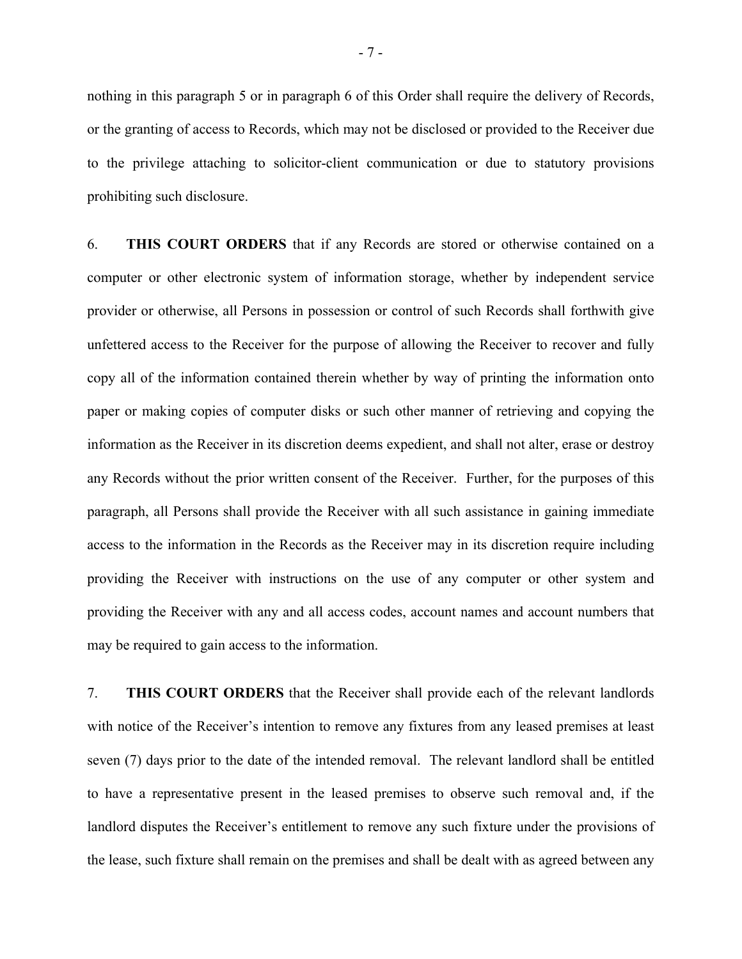nothing in this paragraph 5 or in paragraph 6 of this Order shall require the delivery of Records, or the granting of access to Records, which may not be disclosed or provided to the Receiver due to the privilege attaching to solicitor-client communication or due to statutory provisions prohibiting such disclosure.

6. **THIS COURT ORDERS** that if any Records are stored or otherwise contained on a computer or other electronic system of information storage, whether by independent service provider or otherwise, all Persons in possession or control of such Records shall forthwith give unfettered access to the Receiver for the purpose of allowing the Receiver to recover and fully copy all of the information contained therein whether by way of printing the information onto paper or making copies of computer disks or such other manner of retrieving and copying the information as the Receiver in its discretion deems expedient, and shall not alter, erase or destroy any Records without the prior written consent of the Receiver. Further, for the purposes of this paragraph, all Persons shall provide the Receiver with all such assistance in gaining immediate access to the information in the Records as the Receiver may in its discretion require including providing the Receiver with instructions on the use of any computer or other system and providing the Receiver with any and all access codes, account names and account numbers that may be required to gain access to the information.

7. **THIS COURT ORDERS** that the Receiver shall provide each of the relevant landlords with notice of the Receiver's intention to remove any fixtures from any leased premises at least seven (7) days prior to the date of the intended removal. The relevant landlord shall be entitled to have a representative present in the leased premises to observe such removal and, if the landlord disputes the Receiver's entitlement to remove any such fixture under the provisions of the lease, such fixture shall remain on the premises and shall be dealt with as agreed between any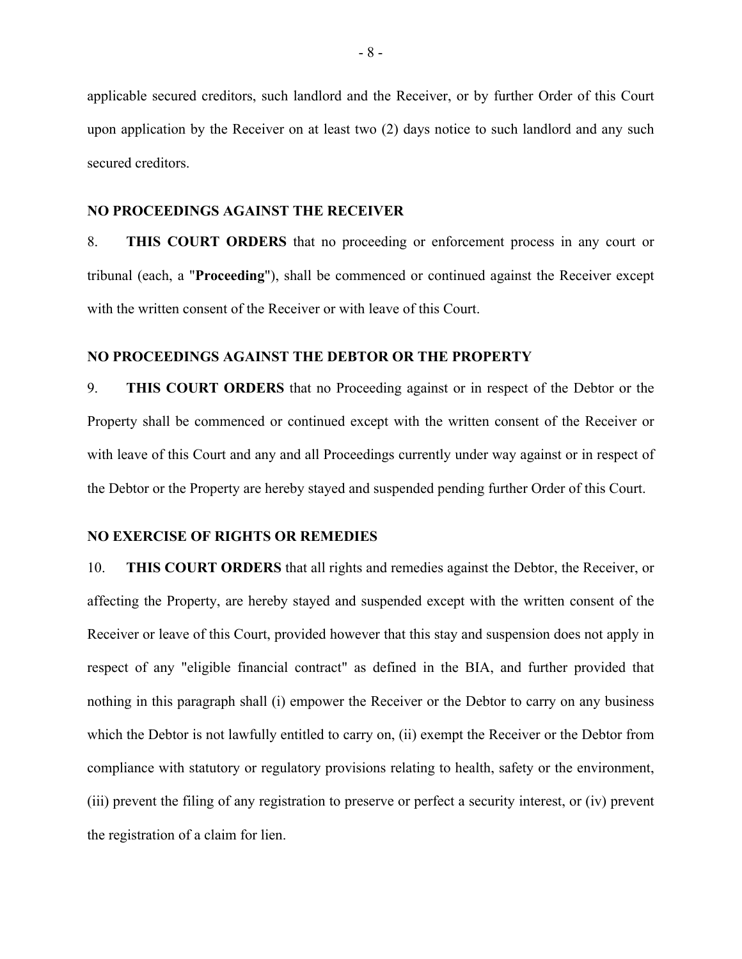applicable secured creditors, such landlord and the Receiver, or by further Order of this Court upon application by the Receiver on at least two (2) days notice to such landlord and any such secured creditors.

## **NO PROCEEDINGS AGAINST THE RECEIVER**

8. **THIS COURT ORDERS** that no proceeding or enforcement process in any court or tribunal (each, a "**Proceeding**"), shall be commenced or continued against the Receiver except with the written consent of the Receiver or with leave of this Court.

## **NO PROCEEDINGS AGAINST THE DEBTOR OR THE PROPERTY**

9. **THIS COURT ORDERS** that no Proceeding against or in respect of the Debtor or the Property shall be commenced or continued except with the written consent of the Receiver or with leave of this Court and any and all Proceedings currently under way against or in respect of the Debtor or the Property are hereby stayed and suspended pending further Order of this Court.

## **NO EXERCISE OF RIGHTS OR REMEDIES**

10. **THIS COURT ORDERS** that all rights and remedies against the Debtor, the Receiver, or affecting the Property, are hereby stayed and suspended except with the written consent of the Receiver or leave of this Court, provided however that this stay and suspension does not apply in respect of any "eligible financial contract" as defined in the BIA, and further provided that nothing in this paragraph shall (i) empower the Receiver or the Debtor to carry on any business which the Debtor is not lawfully entitled to carry on, (ii) exempt the Receiver or the Debtor from compliance with statutory or regulatory provisions relating to health, safety or the environment, (iii) prevent the filing of any registration to preserve or perfect a security interest, or (iv) prevent the registration of a claim for lien.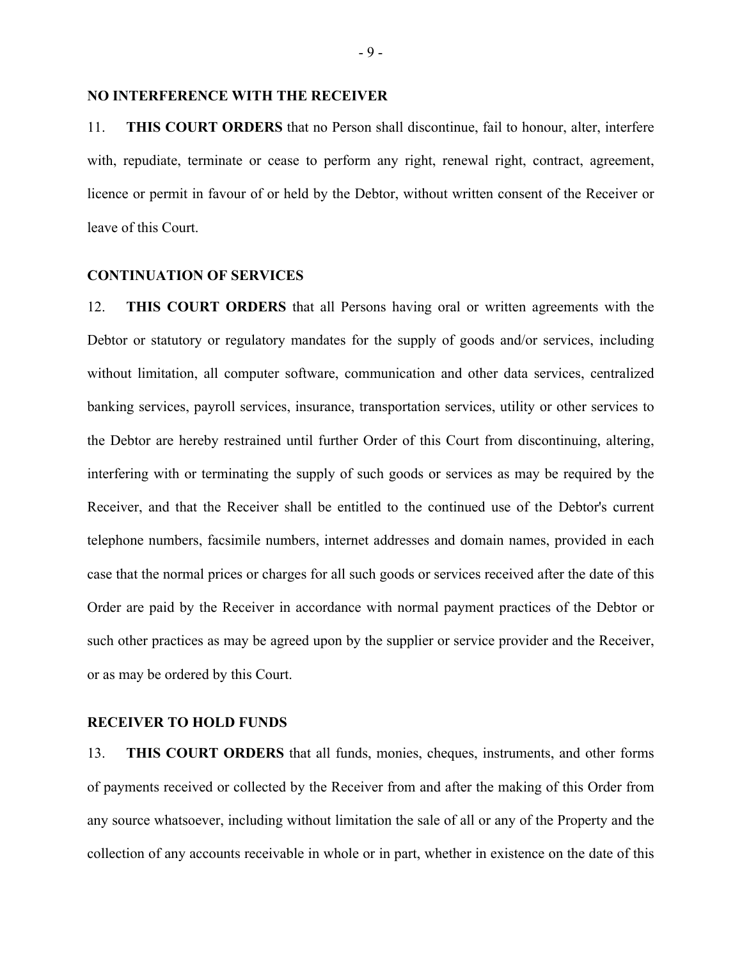## **NO INTERFERENCE WITH THE RECEIVER**

11. **THIS COURT ORDERS** that no Person shall discontinue, fail to honour, alter, interfere with, repudiate, terminate or cease to perform any right, renewal right, contract, agreement, licence or permit in favour of or held by the Debtor, without written consent of the Receiver or leave of this Court.

## **CONTINUATION OF SERVICES**

12. **THIS COURT ORDERS** that all Persons having oral or written agreements with the Debtor or statutory or regulatory mandates for the supply of goods and/or services, including without limitation, all computer software, communication and other data services, centralized banking services, payroll services, insurance, transportation services, utility or other services to the Debtor are hereby restrained until further Order of this Court from discontinuing, altering, interfering with or terminating the supply of such goods or services as may be required by the Receiver, and that the Receiver shall be entitled to the continued use of the Debtor's current telephone numbers, facsimile numbers, internet addresses and domain names, provided in each case that the normal prices or charges for all such goods or services received after the date of this Order are paid by the Receiver in accordance with normal payment practices of the Debtor or such other practices as may be agreed upon by the supplier or service provider and the Receiver, or as may be ordered by this Court.

## **RECEIVER TO HOLD FUNDS**

13. **THIS COURT ORDERS** that all funds, monies, cheques, instruments, and other forms of payments received or collected by the Receiver from and after the making of this Order from any source whatsoever, including without limitation the sale of all or any of the Property and the collection of any accounts receivable in whole or in part, whether in existence on the date of this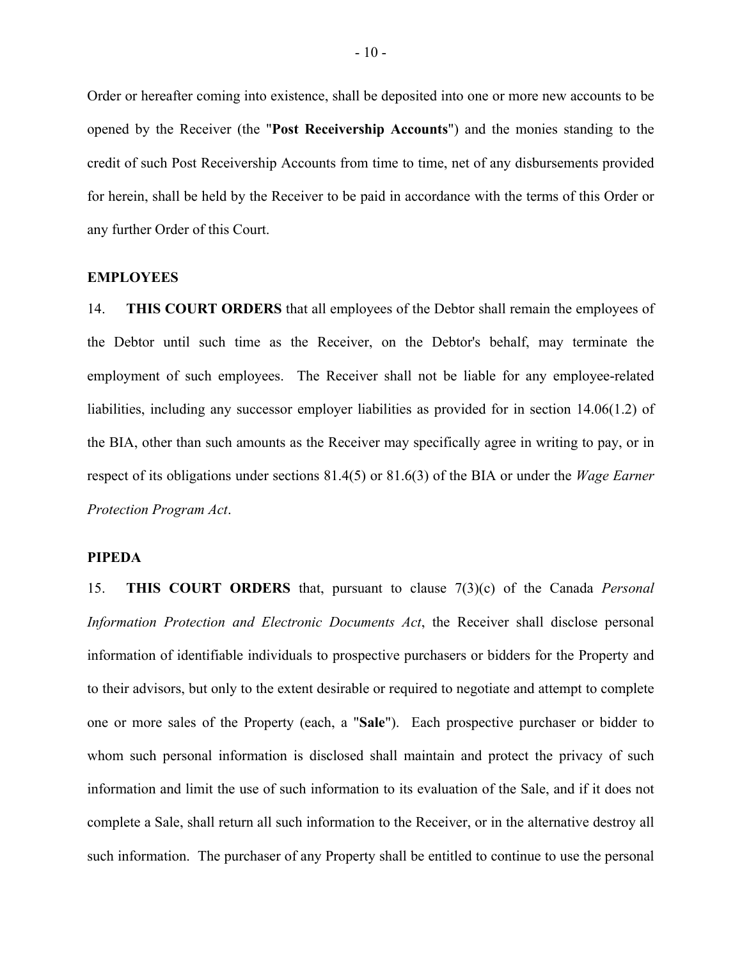Order or hereafter coming into existence, shall be deposited into one or more new accounts to be opened by the Receiver (the "**Post Receivership Accounts**") and the monies standing to the credit of such Post Receivership Accounts from time to time, net of any disbursements provided for herein, shall be held by the Receiver to be paid in accordance with the terms of this Order or any further Order of this Court.

#### **EMPLOYEES**

14. **THIS COURT ORDERS** that all employees of the Debtor shall remain the employees of the Debtor until such time as the Receiver, on the Debtor's behalf, may terminate the employment of such employees. The Receiver shall not be liable for any employee-related liabilities, including any successor employer liabilities as provided for in section 14.06(1.2) of the BIA, other than such amounts as the Receiver may specifically agree in writing to pay, or in respect of its obligations under sections 81.4(5) or 81.6(3) of the BIA or under the *Wage Earner Protection Program Act*.

#### **PIPEDA**

15. **THIS COURT ORDERS** that, pursuant to clause 7(3)(c) of the Canada *Personal Information Protection and Electronic Documents Act*, the Receiver shall disclose personal information of identifiable individuals to prospective purchasers or bidders for the Property and to their advisors, but only to the extent desirable or required to negotiate and attempt to complete one or more sales of the Property (each, a "**Sale**"). Each prospective purchaser or bidder to whom such personal information is disclosed shall maintain and protect the privacy of such information and limit the use of such information to its evaluation of the Sale, and if it does not complete a Sale, shall return all such information to the Receiver, or in the alternative destroy all such information. The purchaser of any Property shall be entitled to continue to use the personal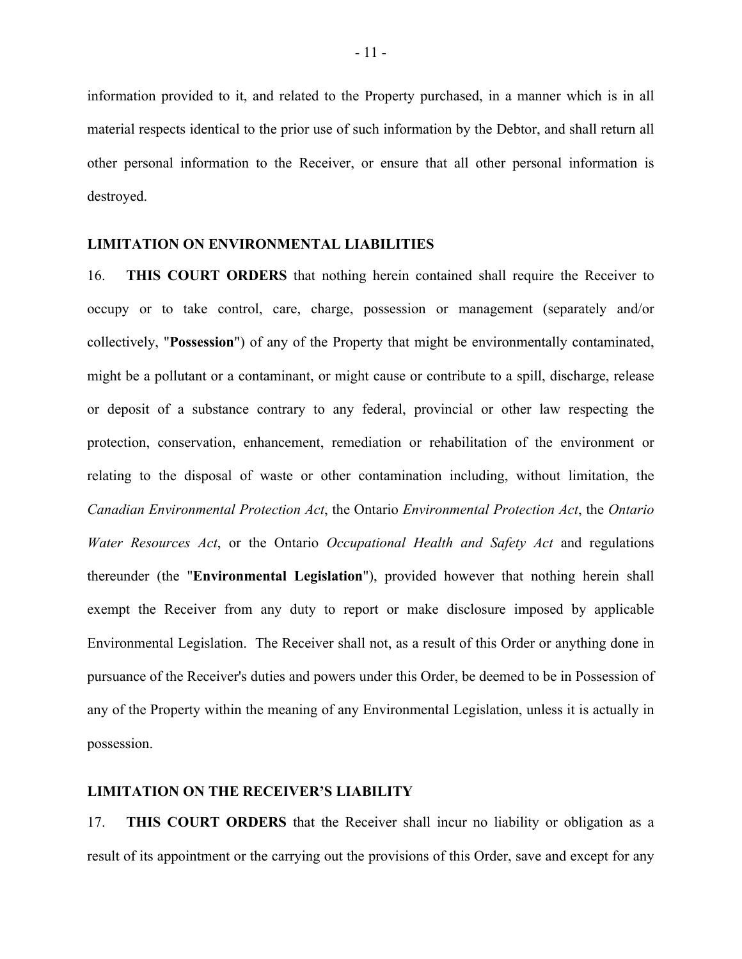information provided to it, and related to the Property purchased, in a manner which is in all material respects identical to the prior use of such information by the Debtor, and shall return all other personal information to the Receiver, or ensure that all other personal information is destroyed.

#### **LIMITATION ON ENVIRONMENTAL LIABILITIES**

16. **THIS COURT ORDERS** that nothing herein contained shall require the Receiver to occupy or to take control, care, charge, possession or management (separately and/or collectively, "**Possession**") of any of the Property that might be environmentally contaminated, might be a pollutant or a contaminant, or might cause or contribute to a spill, discharge, release or deposit of a substance contrary to any federal, provincial or other law respecting the protection, conservation, enhancement, remediation or rehabilitation of the environment or relating to the disposal of waste or other contamination including, without limitation, the *Canadian Environmental Protection Act*, the Ontario *Environmental Protection Act*, the *Ontario Water Resources Act*, or the Ontario *Occupational Health and Safety Act* and regulations thereunder (the "**Environmental Legislation**"), provided however that nothing herein shall exempt the Receiver from any duty to report or make disclosure imposed by applicable Environmental Legislation. The Receiver shall not, as a result of this Order or anything done in pursuance of the Receiver's duties and powers under this Order, be deemed to be in Possession of any of the Property within the meaning of any Environmental Legislation, unless it is actually in possession.

#### **LIMITATION ON THE RECEIVER'S LIABILITY**

17. **THIS COURT ORDERS** that the Receiver shall incur no liability or obligation as a result of its appointment or the carrying out the provisions of this Order, save and except for any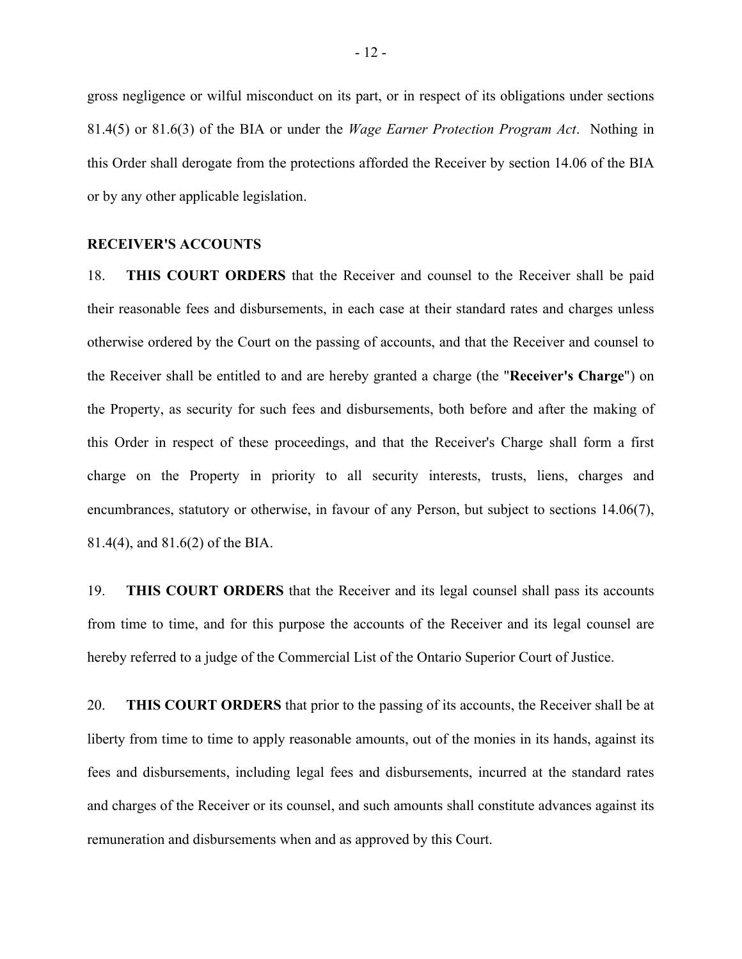gross negligence or wilful misconduct on its part, or in respect of its obligations under sections 81.4(5) or 81.6(3) of the BIA or under the *Wage Earner Protection Program Act*. Nothing in this Order shall derogate from the protections afforded the Receiver by section 14.06 of the BIA or by any other applicable legislation.

#### **RECEIVER'S ACCOUNTS**

18. **THIS COURT ORDERS** that the Receiver and counsel to the Receiver shall be paid their reasonable fees and disbursements, in each case at their standard rates and charges unless otherwise ordered by the Court on the passing of accounts, and that the Receiver and counsel to the Receiver shall be entitled to and are hereby granted a charge (the "**Receiver's Charge**") on the Property, as security for such fees and disbursements, both before and after the making of this Order in respect of these proceedings, and that the Receiver's Charge shall form a first charge on the Property in priority to all security interests, trusts, liens, charges and encumbrances, statutory or otherwise, in favour of any Person, but subject to sections 14.06(7), 81.4(4), and 81.6(2) of the BIA.

19. **THIS COURT ORDERS** that the Receiver and its legal counsel shall pass its accounts from time to time, and for this purpose the accounts of the Receiver and its legal counsel are hereby referred to a judge of the Commercial List of the Ontario Superior Court of Justice.

20. **THIS COURT ORDERS** that prior to the passing of its accounts, the Receiver shall be at liberty from time to time to apply reasonable amounts, out of the monies in its hands, against its fees and disbursements, including legal fees and disbursements, incurred at the standard rates and charges of the Receiver or its counsel, and such amounts shall constitute advances against its remuneration and disbursements when and as approved by this Court.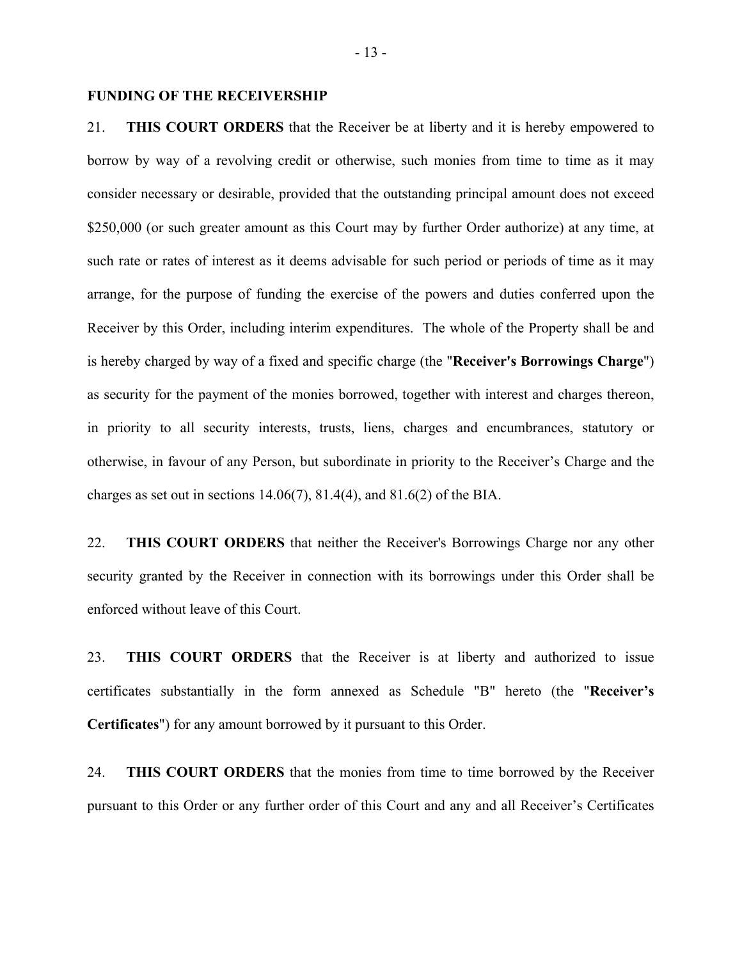## **FUNDING OF THE RECEIVERSHIP**

21. **THIS COURT ORDERS** that the Receiver be at liberty and it is hereby empowered to borrow by way of a revolving credit or otherwise, such monies from time to time as it may consider necessary or desirable, provided that the outstanding principal amount does not exceed \$250,000 (or such greater amount as this Court may by further Order authorize) at any time, at such rate or rates of interest as it deems advisable for such period or periods of time as it may arrange, for the purpose of funding the exercise of the powers and duties conferred upon the Receiver by this Order, including interim expenditures. The whole of the Property shall be and is hereby charged by way of a fixed and specific charge (the "**Receiver's Borrowings Charge**") as security for the payment of the monies borrowed, together with interest and charges thereon, in priority to all security interests, trusts, liens, charges and encumbrances, statutory or otherwise, in favour of any Person, but subordinate in priority to the Receiver's Charge and the charges as set out in sections  $14.06(7)$ ,  $81.4(4)$ , and  $81.6(2)$  of the BIA.

22. **THIS COURT ORDERS** that neither the Receiver's Borrowings Charge nor any other security granted by the Receiver in connection with its borrowings under this Order shall be enforced without leave of this Court.

23. **THIS COURT ORDERS** that the Receiver is at liberty and authorized to issue certificates substantially in the form annexed as Schedule "B" hereto (the "**Receiver's Certificates**") for any amount borrowed by it pursuant to this Order.

24. **THIS COURT ORDERS** that the monies from time to time borrowed by the Receiver pursuant to this Order or any further order of this Court and any and all Receiver's Certificates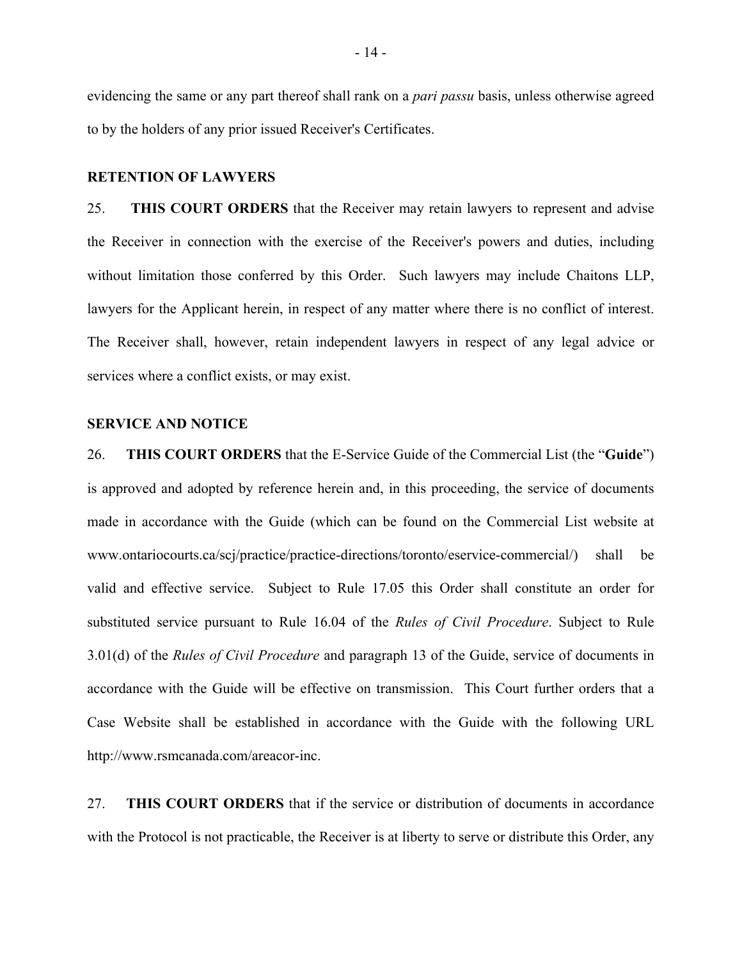evidencing the same or any part thereof shall rank on a *pari passu* basis, unless otherwise agreed to by the holders of any prior issued Receiver's Certificates.

#### **RETENTION OF LAWYERS**

25. **THIS COURT ORDERS** that the Receiver may retain lawyers to represent and advise the Receiver in connection with the exercise of the Receiver's powers and duties, including without limitation those conferred by this Order. Such lawyers may include Chaitons LLP, lawyers for the Applicant herein, in respect of any matter where there is no conflict of interest. The Receiver shall, however, retain independent lawyers in respect of any legal advice or services where a conflict exists, or may exist.

## **SERVICE AND NOTICE**

26. **THIS COURT ORDERS** that the E-Service Guide of the Commercial List (the "**Guide**") is approved and adopted by reference herein and, in this proceeding, the service of documents made in accordance with the Guide (which can be found on the Commercial List website at www.ontariocourts.ca/scj/practice/practice-directions/toronto/eservice-commercial/) shall be valid and effective service. Subject to Rule 17.05 this Order shall constitute an order for substituted service pursuant to Rule 16.04 of the *Rules of Civil Procedure*. Subject to Rule 3.01(d) of the *Rules of Civil Procedure* and paragraph 13 of the Guide, service of documents in accordance with the Guide will be effective on transmission. This Court further orders that a Case Website shall be established in accordance with the Guide with the following URL http://www.rsmcanada.com/areacor-inc.

27. **THIS COURT ORDERS** that if the service or distribution of documents in accordance with the Protocol is not practicable, the Receiver is at liberty to serve or distribute this Order, any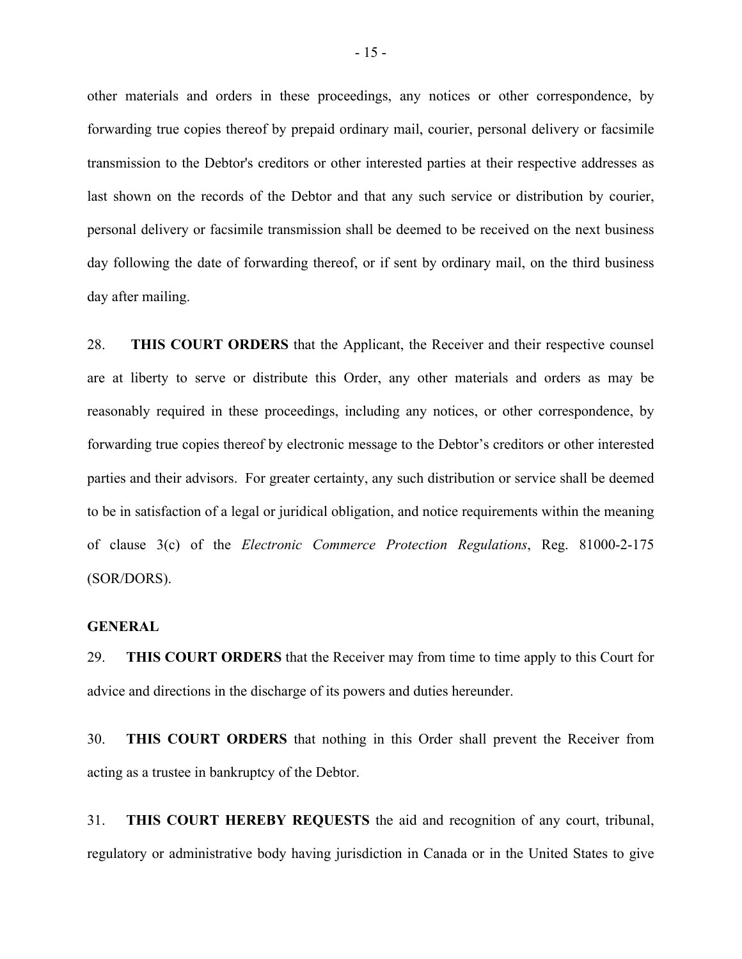other materials and orders in these proceedings, any notices or other correspondence, by forwarding true copies thereof by prepaid ordinary mail, courier, personal delivery or facsimile transmission to the Debtor's creditors or other interested parties at their respective addresses as last shown on the records of the Debtor and that any such service or distribution by courier, personal delivery or facsimile transmission shall be deemed to be received on the next business day following the date of forwarding thereof, or if sent by ordinary mail, on the third business day after mailing.

28. **THIS COURT ORDERS** that the Applicant, the Receiver and their respective counsel are at liberty to serve or distribute this Order, any other materials and orders as may be reasonably required in these proceedings, including any notices, or other correspondence, by forwarding true copies thereof by electronic message to the Debtor's creditors or other interested parties and their advisors. For greater certainty, any such distribution or service shall be deemed to be in satisfaction of a legal or juridical obligation, and notice requirements within the meaning of clause 3(c) of the *Electronic Commerce Protection Regulations*, Reg. 81000-2-175 (SOR/DORS).

## **GENERAL**

29. **THIS COURT ORDERS** that the Receiver may from time to time apply to this Court for advice and directions in the discharge of its powers and duties hereunder.

30. **THIS COURT ORDERS** that nothing in this Order shall prevent the Receiver from acting as a trustee in bankruptcy of the Debtor.

31. **THIS COURT HEREBY REQUESTS** the aid and recognition of any court, tribunal, regulatory or administrative body having jurisdiction in Canada or in the United States to give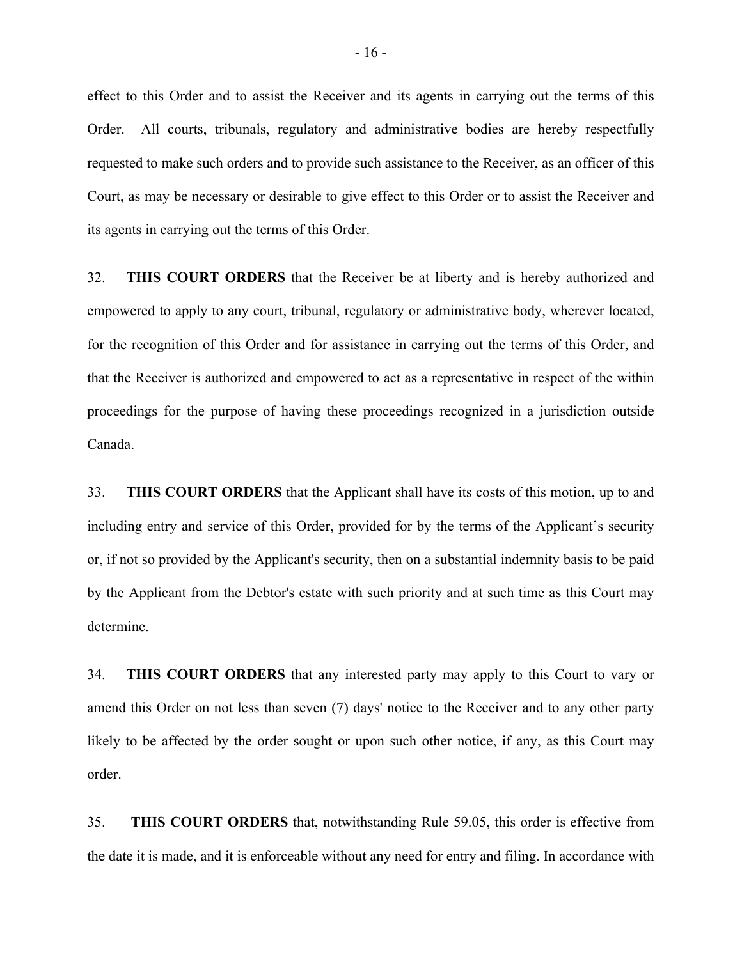effect to this Order and to assist the Receiver and its agents in carrying out the terms of this Order. All courts, tribunals, regulatory and administrative bodies are hereby respectfully requested to make such orders and to provide such assistance to the Receiver, as an officer of this Court, as may be necessary or desirable to give effect to this Order or to assist the Receiver and its agents in carrying out the terms of this Order.

32. **THIS COURT ORDERS** that the Receiver be at liberty and is hereby authorized and empowered to apply to any court, tribunal, regulatory or administrative body, wherever located, for the recognition of this Order and for assistance in carrying out the terms of this Order, and that the Receiver is authorized and empowered to act as a representative in respect of the within proceedings for the purpose of having these proceedings recognized in a jurisdiction outside Canada.

33. **THIS COURT ORDERS** that the Applicant shall have its costs of this motion, up to and including entry and service of this Order, provided for by the terms of the Applicant's security or, if not so provided by the Applicant's security, then on a substantial indemnity basis to be paid by the Applicant from the Debtor's estate with such priority and at such time as this Court may determine.

34. **THIS COURT ORDERS** that any interested party may apply to this Court to vary or amend this Order on not less than seven (7) days' notice to the Receiver and to any other party likely to be affected by the order sought or upon such other notice, if any, as this Court may order.

35. **THIS COURT ORDERS** that, notwithstanding Rule 59.05, this order is effective from the date it is made, and it is enforceable without any need for entry and filing. In accordance with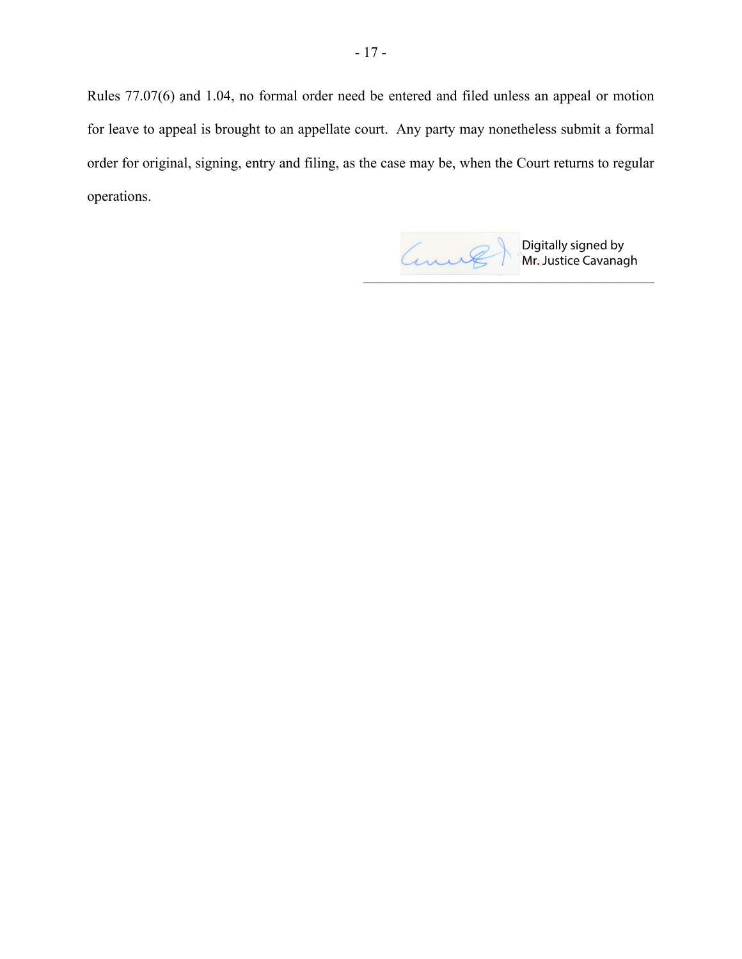Rules 77.07(6) and 1.04, no formal order need be entered and filed unless an appeal or motion for leave to appeal is brought to an appellate court. Any party may nonetheless submit a formal order for original, signing, entry and filing, as the case may be, when the Court returns to regular operations.

Digitally signed by **Mr. Justice Cavanagh**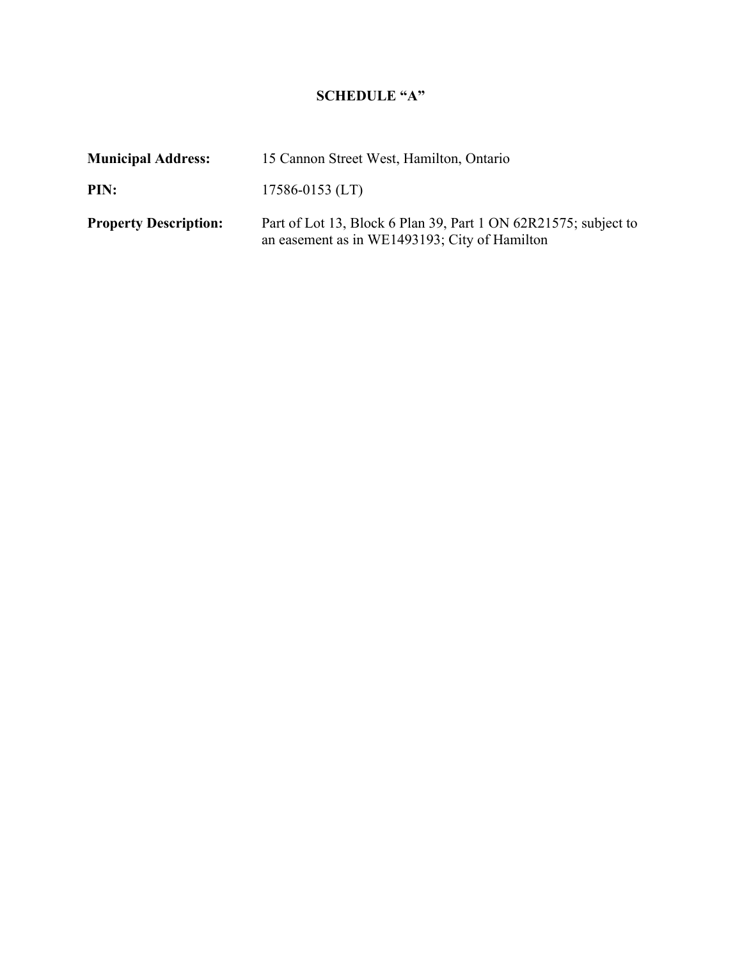# **SCHEDULE "A"**

| <b>Municipal Address:</b>    | 15 Cannon Street West, Hamilton, Ontario                                                                         |  |
|------------------------------|------------------------------------------------------------------------------------------------------------------|--|
| PIN:                         | $17586 - 0153$ (LT)                                                                                              |  |
| <b>Property Description:</b> | Part of Lot 13, Block 6 Plan 39, Part 1 ON 62R21575; subject to<br>an easement as in WE1493193; City of Hamilton |  |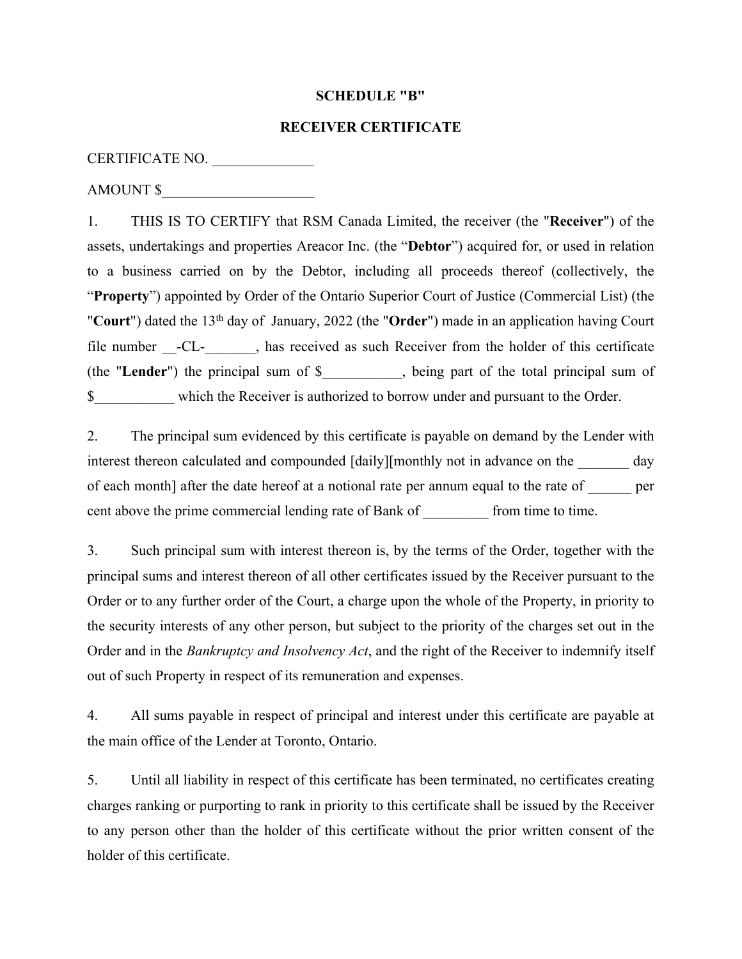## **SCHEDULE "B"**

## **RECEIVER CERTIFICATE**

## CERTIFICATE NO.

AMOUNT \$

1. THIS IS TO CERTIFY that RSM Canada Limited, the receiver (the "**Receiver**") of the assets, undertakings and properties Areacor Inc. (the "**Debtor**") acquired for, or used in relation to a business carried on by the Debtor, including all proceeds thereof (collectively, the "**Property**") appointed by Order of the Ontario Superior Court of Justice (Commercial List) (the "Court") dated the 13<sup>th</sup> day of January, 2022 (the "Order") made in an application having Court file number -CL-, has received as such Receiver from the holder of this certificate (the "**Lender**") the principal sum of \$\_\_\_\_\_\_\_\_\_\_\_, being part of the total principal sum of \$\_\_\_\_\_\_\_\_\_\_\_ which the Receiver is authorized to borrow under and pursuant to the Order.

2. The principal sum evidenced by this certificate is payable on demand by the Lender with interest thereon calculated and compounded [daily][monthly not in advance on the day of each month] after the date hereof at a notional rate per annum equal to the rate of per cent above the prime commercial lending rate of Bank of From time to time.

3. Such principal sum with interest thereon is, by the terms of the Order, together with the principal sums and interest thereon of all other certificates issued by the Receiver pursuant to the Order or to any further order of the Court, a charge upon the whole of the Property, in priority to the security interests of any other person, but subject to the priority of the charges set out in the Order and in the *Bankruptcy and Insolvency Act*, and the right of the Receiver to indemnify itself out of such Property in respect of its remuneration and expenses.

4. All sums payable in respect of principal and interest under this certificate are payable at the main office of the Lender at Toronto, Ontario.

5. Until all liability in respect of this certificate has been terminated, no certificates creating charges ranking or purporting to rank in priority to this certificate shall be issued by the Receiver to any person other than the holder of this certificate without the prior written consent of the holder of this certificate.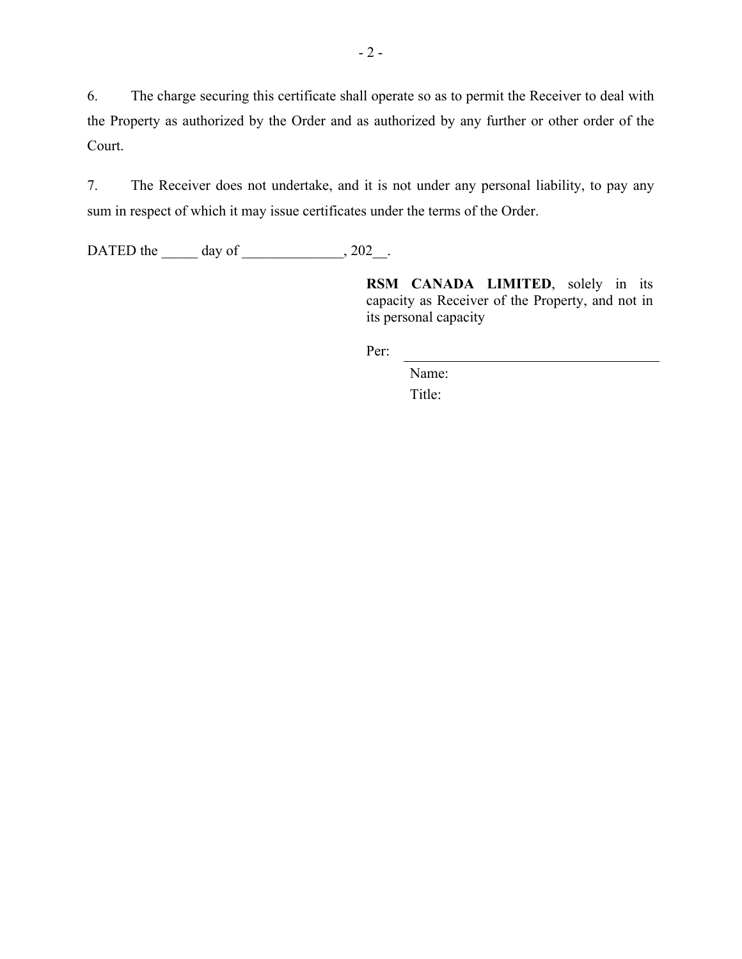6. The charge securing this certificate shall operate so as to permit the Receiver to deal with the Property as authorized by the Order and as authorized by any further or other order of the Court.

7. The Receiver does not undertake, and it is not under any personal liability, to pay any sum in respect of which it may issue certificates under the terms of the Order.

DATED the day of 302.

**RSM CANADA LIMITED**, solely in its capacity as Receiver of the Property, and not in its personal capacity

Per:

Name: Title: